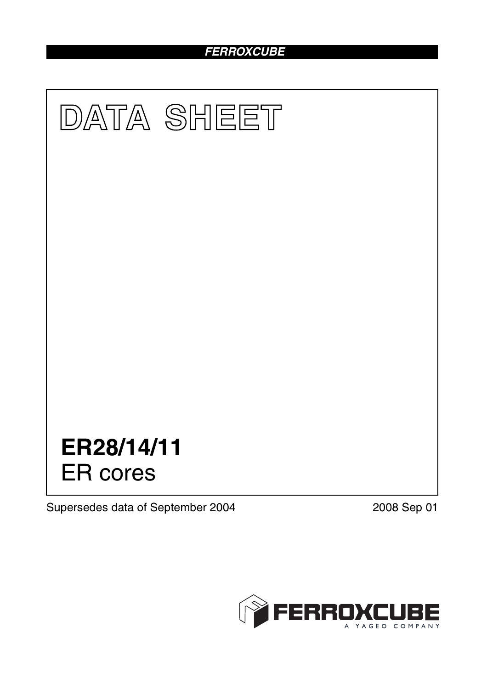# *FERROXCUBE*



Supersedes data of September 2004 2008 Sep 01

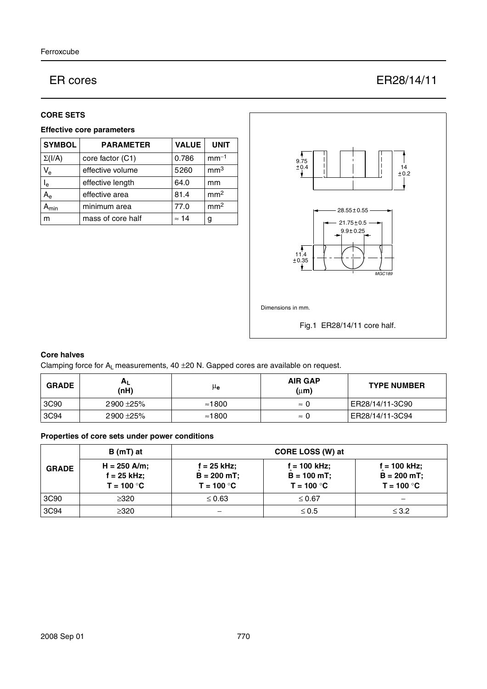# ER cores ER28/14/11

### **CORE SETS**

## **Effective core parameters**

| <b>SYMBOL</b> | <b>PARAMETER</b>  | <b>VALUE</b> | <b>UNIT</b>     |
|---------------|-------------------|--------------|-----------------|
| $\Sigma(I/A)$ | core factor (C1)  | 0.786        | $mm-1$          |
| $V_{e}$       | effective volume  | 5260         | mm <sup>3</sup> |
| $I_e$         | effective length  | 64.0         | mm              |
| $A_{e}$       | effective area    | 81.4         | mm <sup>2</sup> |
| <b>\</b> min  | minimum area      | 77.0         | mm <sup>2</sup> |
| m             | mass of core half | $\approx$ 14 | g               |



# **Core halves**

Clamping force for  $A_L$  measurements, 40  $\pm$ 20 N. Gapped cores are available on request.

| <b>GRADE</b> | <b>AL</b><br>(nH) | μe             | <b>AIR GAP</b><br>$(\mu m)$ | <b>TYPE NUMBER</b> |
|--------------|-------------------|----------------|-----------------------------|--------------------|
| 3C90         | 2900 ± 25%        | $\approx$ 1800 | $\approx 0$                 | ER28/14/11-3C90    |
| 3C94         | 2900 ± 25%        | $\approx$ 1800 | $\approx 0$                 | ER28/14/11-3C94    |

# **Properties of core sets under power conditions**

|              | $B(mT)$ at                                      | CORE LOSS (W) at                               |                                                |                                                |
|--------------|-------------------------------------------------|------------------------------------------------|------------------------------------------------|------------------------------------------------|
| <b>GRADE</b> | $H = 250$ A/m;<br>$f = 25$ kHz;<br>$T = 100 °C$ | $f = 25$ kHz;<br>$B = 200$ mT;<br>$T = 100 °C$ | f = 100 kHz;<br>$B = 100 mT$ ;<br>$T = 100 °C$ | f = 100 kHz;<br>$B = 200 mT$ ;<br>$T = 100 °C$ |
| 3C90         | $\geq$ 320                                      | $\leq 0.63$                                    | $\leq 0.67$                                    |                                                |
| 3C94         | >320                                            |                                                | $\leq 0.5$                                     | $\leq$ 3.2                                     |